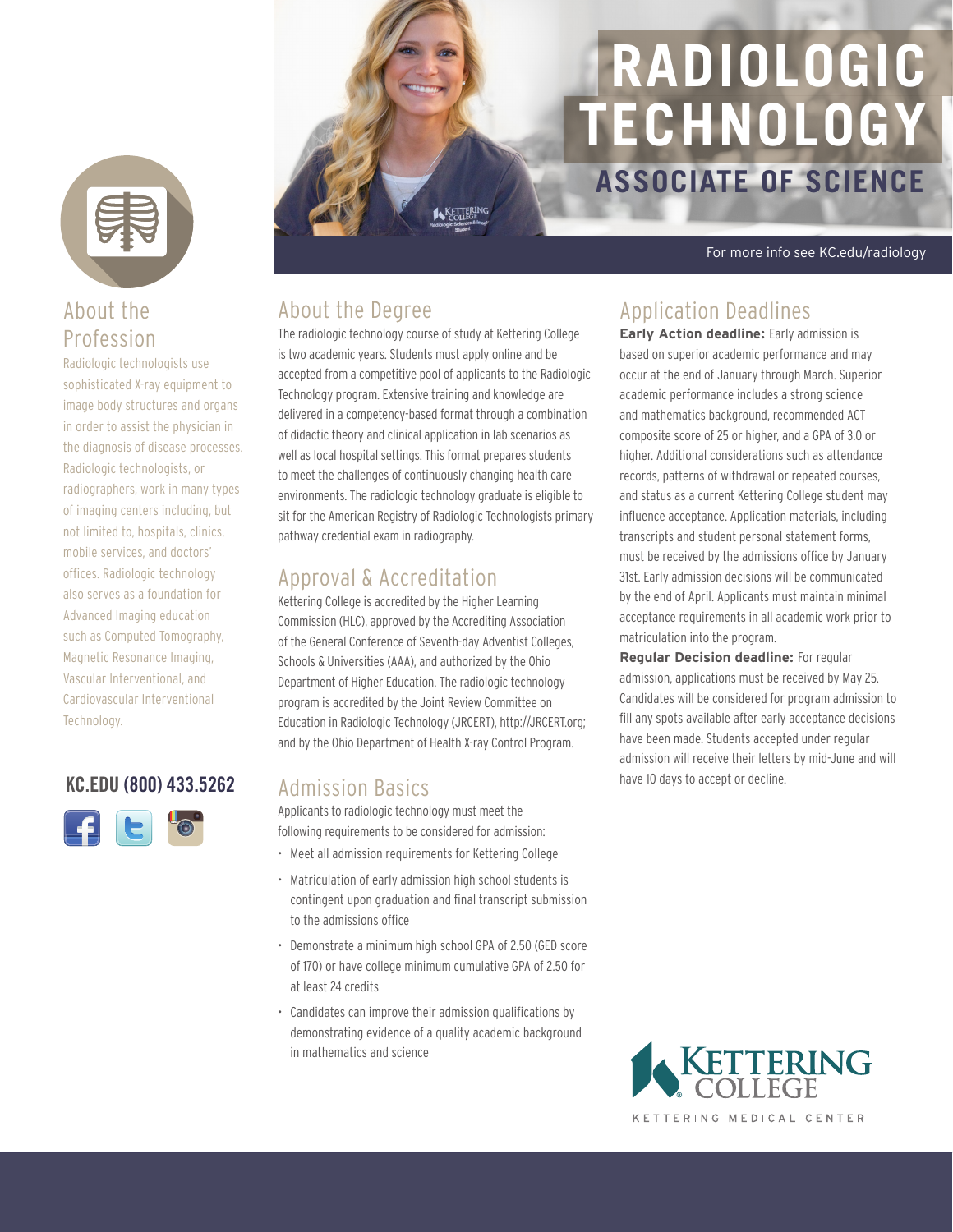

#### About the Profession

Radiologic technologists use sophisticated X-ray equipment to image body structures and organs in order to assist the physician in the diagnosis of disease processes. Radiologic technologists, or radiographers, work in many types of imaging centers including, but not limited to, hospitals, clinics, mobile services, and doctors' offices. Radiologic technology also serves as a foundation for Advanced Imaging education such as Computed Tomography, Magnetic Resonance Imaging, Vascular Interventional, and Cardiovascular Interventional Technology.

#### KC.EDU (800) 433.5262 Admission Basics and the bave 10 days to accept or decline.



# **ASSOCIATE OF SCIENCE RADIOLOGIC TECHNOLOGY**

For more info see KC.edu/radiology

#### About the Degree

The radiologic technology course of study at Kettering College is two academic years. Students must apply online and be accepted from a competitive pool of applicants to the Radiologic Technology program. Extensive training and knowledge are delivered in a competency-based format through a combination of didactic theory and clinical application in lab scenarios as well as local hospital settings. This format prepares students to meet the challenges of continuously changing health care environments. The radiologic technology graduate is eligible to sit for the American Registry of Radiologic Technologists primary pathway credential exam in radiography.

KETTERING

#### Approval & Accreditation

Kettering College is accredited by the Higher Learning Commission (HLC), approved by the Accrediting Association of the General Conference of Seventh-day Adventist Colleges, Schools & Universities (AAA), and authorized by the Ohio Department of Higher Education. The radiologic technology program is accredited by the Joint Review Committee on Education in Radiologic Technology (JRCERT), http://JRCERT.org; and by the Ohio Department of Health X-ray Control Program.

#### Admission Basics

Applicants to radiologic technology must meet the following requirements to be considered for admission:

- Meet all admission requirements for Kettering College
- Matriculation of early admission high school students is contingent upon graduation and final transcript submission to the admissions office
- Demonstrate a minimum high school GPA of 2.50 (GED score of 170) or have college minimum cumulative GPA of 2.50 for at least 24 credits
- Candidates can improve their admission qualifications by demonstrating evidence of a quality academic background in mathematics and science

#### Application Deadlines

**Early Action deadline:** Early admission is based on superior academic performance and may occur at the end of January through March. Superior academic performance includes a strong science and mathematics background, recommended ACT composite score of 25 or higher, and a GPA of 3.0 or higher. Additional considerations such as attendance records, patterns of withdrawal or repeated courses, and status as a current Kettering College student may influence acceptance. Application materials, including transcripts and student personal statement forms, must be received by the admissions office by January 31st. Early admission decisions will be communicated by the end of April. Applicants must maintain minimal acceptance requirements in all academic work prior to matriculation into the program.

**Regular Decision deadline:** For regular admission, applications must be received by May 25. Candidates will be considered for program admission to fill any spots available after early acceptance decisions have been made. Students accepted under regular admission will receive their letters by mid-June and will